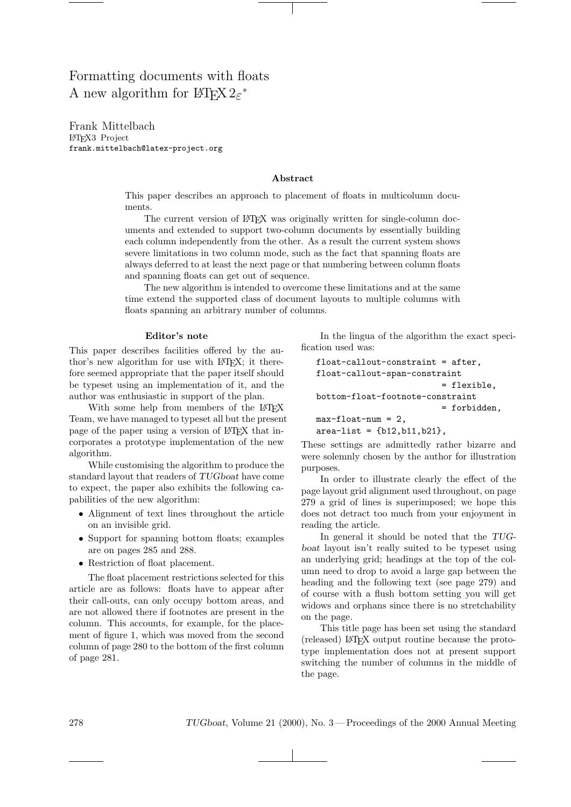# Formatting documents with floats A new algorithm for  $\mathbb{B}\mathrm{T}_{\mathrm{E}}\mathrm{X}\,2\varepsilon^*$

Frank Mittelbach LATEX3 Project frank.mittelbach@latex-project.org

# Abstract

This paper describes an approach to placement of floats in multicolumn documents.

The current version of LATEX was originally written for single-column documents and extended to support two-column documents by essentially building each column independently from the other. As a result the current system shows severe limitations in two column mode, such as the fact that spanning floats are always deferred to at least the next page or that numbering between column floats and spanning floats can get out of sequence.

The new algorithm is intended to overcome these limitations and at the same time extend the supported class of document layouts to multiple columns with floats spanning an arbitrary number of columns.

# Editor's note

This paper describes facilities offered by the author's new algorithm for use with LAT<sub>EX</sub>; it therefore seemed appropriate that the paper itself should be typeset using an implementation of it, and the author was enthusiastic in support of the plan.

With some help from members of the LAT<sub>EX</sub> Team, we have managed to typeset all but the present page of the paper using a version of LAT<sub>EX</sub> that incorporates a prototype implementation of the new algorithm.

While customising the algorithm to produce the standard layout that readers of TUGboat have come to expect, the paper also exhibits the following capabilities of the new algorithm:

- Alignment of text lines throughout the article on an invisible grid.
- Support for spanning bottom floats; examples are on pages 285 and 288.
- Restriction of float placement.

The float placement restrictions selected for this article are as follows: floats have to appear after their call-outs, can only occupy bottom areas, and are not allowed there if footnotes are present in the column. This accounts, for example, for the placement of figure 1, which was moved from the second column of page 280 to the bottom of the first column of page 281.

In the lingua of the algorithm the exact specification used was:

```
float-callout-constraint = after,
float-callout-span-constraint
                          = flexible,
bottom-float-footnote-constraint
                          = forbidden,
max-float-num = 2,
area-list = {b12, b11, b21},
```
These settings are admittedly rather bizarre and were solemnly chosen by the author for illustration purposes.

In order to illustrate clearly the effect of the page layout grid alignment used throughout, on page 279 a grid of lines is superimposed; we hope this does not detract too much from your enjoyment in reading the article.

In general it should be noted that the TUGboat layout isn't really suited to be typeset using an underlying grid; headings at the top of the column need to drop to avoid a large gap between the heading and the following text (see page 279) and of course with a flush bottom setting you will get widows and orphans since there is no stretchability on the page.

This title page has been set using the standard (released) LATEX output routine because the prototype implementation does not at present support switching the number of columns in the middle of the page.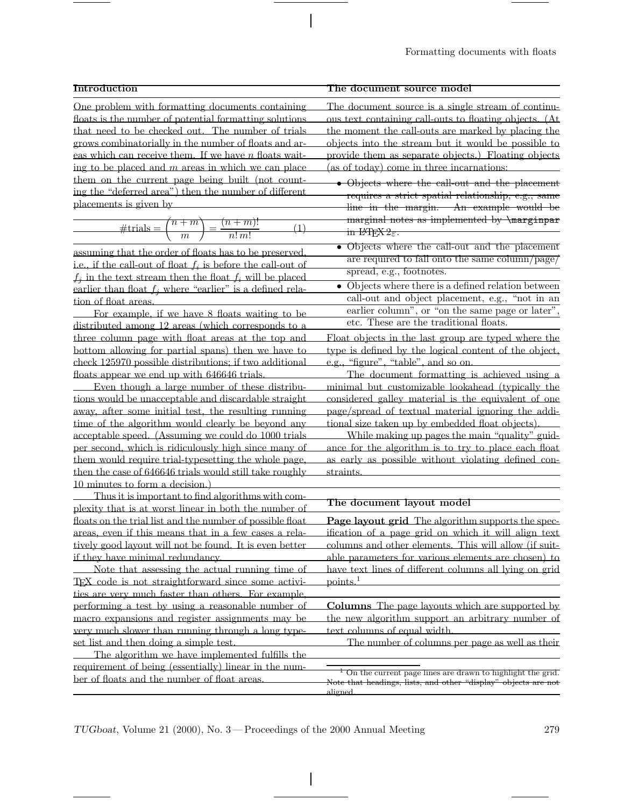# **Introduction**

One problem with formatting documents containing floats is the number of potential formatting solutions that need to be checked out. The number of trials grows combinatorially in the number of floats and areas which can receive them. If we have  $n$  floats waiting to be placed and  $m$  areas in which we can place them on the current page being built (not counting the "deferred area") then the number of different placements is given by

$$
\# \text{trials} = \binom{n+m}{m} = \frac{(n+m)!}{n! \, m!} \tag{1}
$$

assuming that the order of floats has to be preserved, i.e., if the call-out of float  $f_i$  is before the call-out of  $f_i$  in the text stream then the float  $f_i$  will be placed earlier than float  $f_i$  where "earlier" is a defined relation of float areas.

For example, if we have 8 floats waiting to be distributed among 12 areas (which corresponds to a three column page with float areas at the top and bottom allowing for partial spans) then we have to check 125970 possible distributions; if two additional floats appear we end up with 646646 trials.

Even though a large number of these distributions would be unacceptable and discardable straight away, after some initial test, the resulting running time of the algorithm would clearly be beyond any acceptable speed. (Assuming we could do 1000 trials per second, which is ridiculously high since many of them would require trial-typesetting the whole page, then the case of 646646 trials would still take roughly 10 minutes to form a decision.)

Thus it is important to find algorithms with complexity that is at worst linear in both the number of floats on the trial list and the number of possible float areas, even if this means that in a few cases a relatively good layout will not be found. It is even better if they have minimal redundancy.

Note that assessing the actual running time of TEX code is not straightforward since some activities are very much faster than others. For example, performing a test by using a reasonable number of macro expansions and register assignments may be very much slower than running through a long typeset list and then doing a simple test.

The algorithm we have implemented fulfills the requirement of being (essentially) linear in the number of floats and the number of float areas.

# **The document source model**

The document source is a single stream of continuous text containing call-outs to floating objects. (At the moment the call-outs are marked by placing the objects into the stream but it would be possible to provide them as separate objects.) Floating objects (as of today) come in three incarnations:

- Objects where the call-out and the placement requires a strict spatial relationship, e.g., same line in the margin. An example would be marginal notes as implemented by **\marginpar** in  $L^{\text{H}}E$ <sub> $\epsilon$ </sub>.
- Objects where the call-out and the placement are required to fall onto the same column/page/ spread, e.g., footnotes.
- Objects where there is a defined relation between call-out and object placement, e.g., "not in an earlier column", or "on the same page or later", etc. These are the traditional floats.

Float objects in the last group are typed where the type is defined by the logical content of the object, e.g., "figure", "table", and so on.

The document formatting is achieved using a minimal but customizable lookahead (typically the considered galley material is the equivalent of one page/spread of textual material ignoring the additional size taken up by embedded float objects).

While making up pages the main "quality" guidance for the algorithm is to try to place each float as early as possible without violating defined constraints.

# **The document layout model**

**Page layout grid** The algorithm supports the specification of a page grid on which it will align text columns and other elements. This will allow (if suitable parameters for various elements are chosen) to have text lines of different columns all lying on grid  $points.<sup>1</sup>$ 

**Columns** The page layouts which are supported by the new algorithm support an arbitrary number of text columns of equal width.

The number of columns per page as well as their

On the current page lines are drawn to highlight the grid. Note that headings, lists, and other "display" objects are aligned.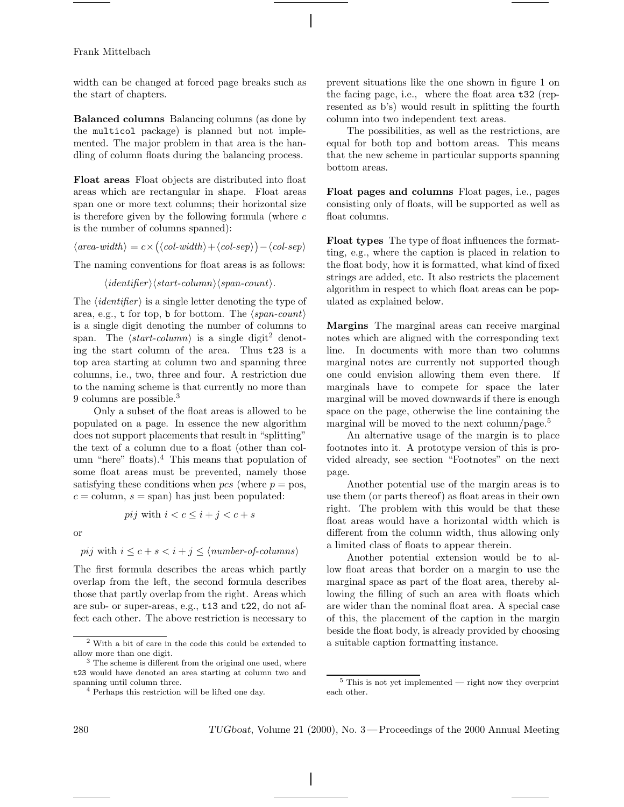width can be changed at forced page breaks such as the start of chapters.

**Balanced columns** Balancing columns (as done by the multicol package) is planned but not implemented. The major problem in that area is the handling of column floats during the balancing process.

**Float areas** Float objects are distributed into float areas which are rectangular in shape. Float areas span one or more text columns; their horizontal size is therefore given by the following formula (where  $c$ is the number of columns spanned):

 $\langle \text{area-width} \rangle = c \times (\langle \text{col-width} \rangle + \langle \text{col-sep} \rangle) - \langle \text{col-sep} \rangle$ 

The naming conventions for float areas is as follows:

 $\langle \mathit{identifier} \rangle \langle \mathit{start-column} \rangle \langle \mathit{span-count} \rangle.$ 

The  $\langle \text{identity} | \text{if} \rangle$  is a single letter denoting the type of area, e.g., **t** for top, **b** for bottom. The  $\langle span-count \rangle$ is a single digit denoting the number of columns to span. The  $\langle start\text{-}column \rangle$  is a single digit<sup>2</sup> denoting the start column of the area. Thus t23 is a top area starting at column two and spanning three columns, i.e., two, three and four. A restriction due to the naming scheme is that currently no more than 9 columns are possible.<sup>3</sup>

Only a subset of the float areas is allowed to be populated on a page. In essence the new algorithm does not support placements that result in "splitting" the text of a column due to a float (other than column "here" floats).<sup>4</sup> This means that population of some float areas must be prevented, namely those satisfying these conditions when  $pcs$  (where  $p = pos$ ,  $c = \text{column}, s = \text{span}$  has just been populated:

$$
pij \text{ with } i < c \leq i+j < c+s
$$

or

 $pi$  with  $i \leq c + s < i + j \leq \langle number\text{-}of\text{-}columns \rangle$ 

The first formula describes the areas which partly overlap from the left, the second formula describes those that partly overlap from the right. Areas which are sub- or super-areas, e.g., t13 and t22, do not affect each other. The above restriction is necessary to prevent situations like the one shown in figure 1 on the facing page, i.e., where the float area t32 (represented as b's) would result in splitting the fourth column into two independent text areas.

The possibilities, as well as the restrictions, are equal for both top and bottom areas. This means that the new scheme in particular supports spanning bottom areas.

**Float pages and columns** Float pages, i.e., pages consisting only of floats, will be supported as well as float columns.

**Float types** The type of float influences the formatting, e.g., where the caption is placed in relation to the float body, how it is formatted, what kind of fixed strings are added, etc. It also restricts the placement algorithm in respect to which float areas can be populated as explained below.

**Margins** The marginal areas can receive marginal notes which are aligned with the corresponding text line. In documents with more than two columns marginal notes are currently not supported though one could envision allowing them even there. If marginals have to compete for space the later marginal will be moved downwards if there is enough space on the page, otherwise the line containing the marginal will be moved to the next column/page.<sup>5</sup>

An alternative usage of the margin is to place footnotes into it. A prototype version of this is provided already, see section "Footnotes" on the next page.

Another potential use of the margin areas is to use them (or parts thereof) as float areas in their own right. The problem with this would be that these float areas would have a horizontal width which is different from the column width, thus allowing only a limited class of floats to appear therein.

Another potential extension would be to allow float areas that border on a margin to use the marginal space as part of the float area, thereby allowing the filling of such an area with floats which are wider than the nominal float area. Aspecial case of this, the placement of the caption in the margin beside the float body, is already provided by choosing a suitable caption formatting instance.

<sup>2</sup> With a bit of care in the code this could be extended to allow more than one digit.

<sup>&</sup>lt;sup>3</sup> The scheme is different from the original one used, where t23 would have denoted an area starting at column two and spanning until column three.

<sup>4</sup> Perhaps this restriction will be lifted one day.

 $5$  This is not yet implemented — right now they overprint each other.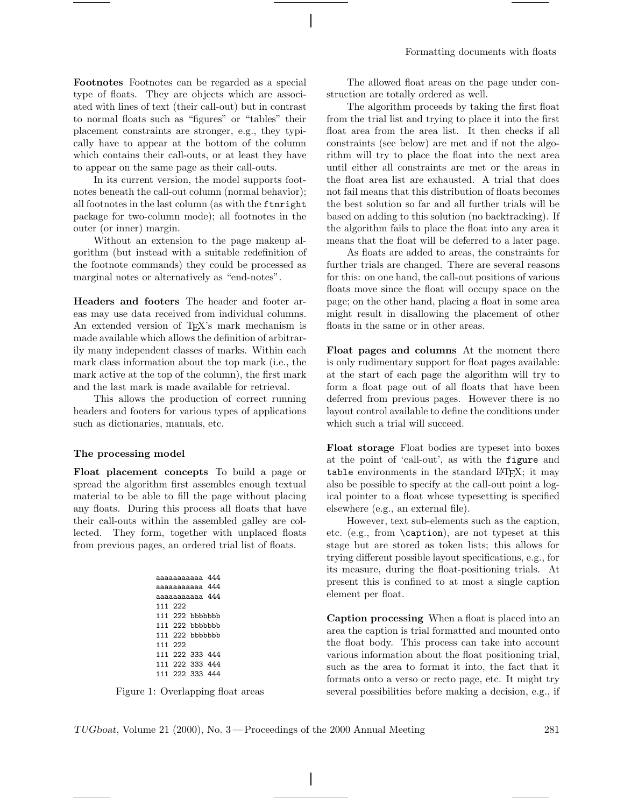**Footnotes** Footnotes can be regarded as a special type of floats. They are objects which are associated with lines of text (their call-out) but in contrast to normal floats such as "figures" or "tables" their placement constraints are stronger, e.g., they typically have to appear at the bottom of the column which contains their call-outs, or at least they have to appear on the same page as their call-outs.

In its current version, the model supports footnotes beneath the call-out column (normal behavior); all footnotes in the last column (as with the ftnright package for two-column mode); all footnotes in the outer (or inner) margin.

Without an extension to the page makeup algorithm (but instead with a suitable redefinition of the footnote commands) they could be processed as marginal notes or alternatively as "end-notes".

**Headers and footers** The header and footer areas may use data received from individual columns. An extended version of TEX's mark mechanism is made available which allows the definition of arbitrarily many independent classes of marks. Within each mark class information about the top mark (i.e., the mark active at the top of the column), the first mark and the last mark is made available for retrieval.

This allows the production of correct running headers and footers for various types of applications such as dictionaries, manuals, etc.

#### **The processing model**

**Float placement concepts** To build a page or spread the algorithm first assembles enough textual material to be able to fill the page without placing any floats. During this process all floats that have their call-outs within the assembled galley are collected. They form, together with unplaced floats from previous pages, an ordered trial list of floats.

| aaaaaaaaaaa 444 |                 |  |  |  |  |  |
|-----------------|-----------------|--|--|--|--|--|
| aaaaaaaaaa 444  |                 |  |  |  |  |  |
| aaaaaaaaaa 444  |                 |  |  |  |  |  |
|                 | 111 222         |  |  |  |  |  |
|                 | 111 222 bbbbbbb |  |  |  |  |  |
|                 | 111 222 bbbbbbb |  |  |  |  |  |
|                 | 111 222 bbbbbbb |  |  |  |  |  |
|                 | 111 222         |  |  |  |  |  |
|                 | 111 222 333 444 |  |  |  |  |  |
|                 | 111 222 333 444 |  |  |  |  |  |
|                 | 111 222 333 444 |  |  |  |  |  |

Figure 1: Overlapping float areas

The allowed float areas on the page under construction are totally ordered as well.

The algorithm proceeds by taking the first float from the trial list and trying to place it into the first float area from the area list. It then checks if all constraints (see below) are met and if not the algorithm will try to place the float into the next area until either all constraints are met or the areas in the float area list are exhausted. Atrial that does not fail means that this distribution of floats becomes the best solution so far and all further trials will be based on adding to this solution (no backtracking). If the algorithm fails to place the float into any area it means that the float will be deferred to a later page.

As floats are added to areas, the constraints for further trials are changed. There are several reasons for this: on one hand, the call-out positions of various floats move since the float will occupy space on the page; on the other hand, placing a float in some area might result in disallowing the placement of other floats in the same or in other areas.

**Float pages and columns** At the moment there is only rudimentary support for float pages available: at the start of each page the algorithm will try to form a float page out of all floats that have been deferred from previous pages. However there is no layout control available to define the conditions under which such a trial will succeed.

**Float storage** Float bodies are typeset into boxes at the point of 'call-out', as with the figure and table environments in the standard LAT<sub>EX</sub>; it may also be possible to specify at the call-out point a logical pointer to a float whose typesetting is specified elsewhere (e.g., an external file).

However, text sub-elements such as the caption, etc. (e.g., from \caption), are not typeset at this stage but are stored as token lists; this allows for trying different possible layout specifications, e.g., for its measure, during the float-positioning trials. At present this is confined to at most a single caption element per float.

**Caption processing** When a float is placed into an area the caption is trial formatted and mounted onto the float body. This process can take into account various information about the float positioning trial, such as the area to format it into, the fact that it formats onto a verso or recto page, etc. It might try several possibilities before making a decision, e.g., if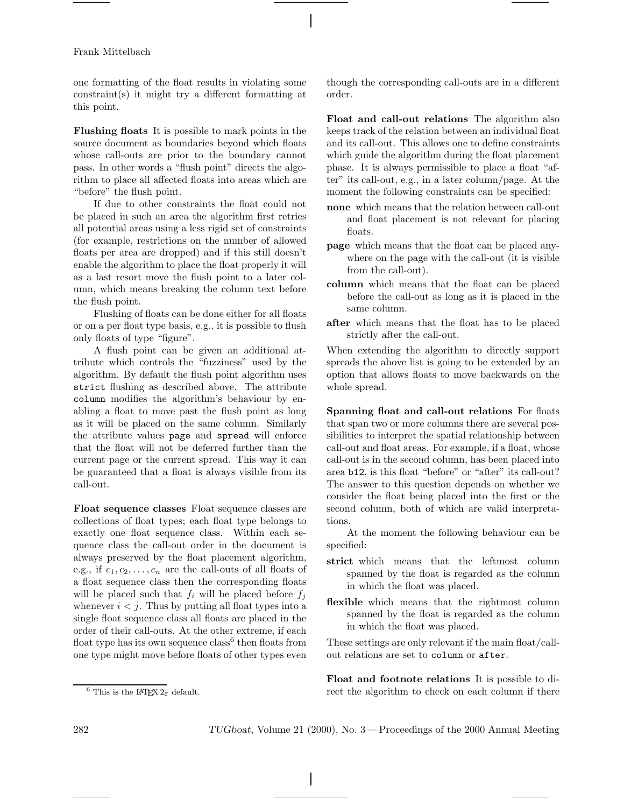one formatting of the float results in violating some constraint(s) it might try a different formatting at this point.

**Flushing floats** It is possible to mark points in the source document as boundaries beyond which floats whose call-outs are prior to the boundary cannot pass. In other words a "flush point" directs the algorithm to place all affected floats into areas which are "before" the flush point.

If due to other constraints the float could not be placed in such an area the algorithm first retries all potential areas using a less rigid set of constraints (for example, restrictions on the number of allowed floats per area are dropped) and if this still doesn't enable the algorithm to place the float properly it will as a last resort move the flush point to a later column, which means breaking the column text before the flush point.

Flushing of floats can be done either for all floats or on a per float type basis, e.g., it is possible to flush only floats of type "figure".

Aflush point can be given an additional attribute which controls the "fuzziness" used by the algorithm. By default the flush point algorithm uses strict flushing as described above. The attribute column modifies the algorithm's behaviour by enabling a float to move past the flush point as long as it will be placed on the same column. Similarly the attribute values page and spread will enforce that the float will not be deferred further than the current page or the current spread. This way it can be guaranteed that a float is always visible from its call-out.

**Float sequence classes** Float sequence classes are collections of float types; each float type belongs to exactly one float sequence class. Within each sequence class the call-out order in the document is always preserved by the float placement algorithm, e.g., if  $c_1, c_2, \ldots, c_n$  are the call-outs of all floats of a float sequence class then the corresponding floats will be placed such that  $f_i$  will be placed before  $f_i$ whenever  $i < j$ . Thus by putting all float types into a single float sequence class all floats are placed in the order of their call-outs. At the other extreme, if each float type has its own sequence  $\text{class}^6$  then floats from one type might move before floats of other types even

though the corresponding call-outs are in a different order.

**Float and call-out relations** The algorithm also keeps track of the relation between an individual float and its call-out. This allows one to define constraints which guide the algorithm during the float placement phase. It is always permissible to place a float "after" its call-out, e.g., in a later column/page. At the moment the following constraints can be specified:

- **none** which means that the relation between call-out and float placement is not relevant for placing floats.
- **page** which means that the float can be placed anywhere on the page with the call-out (it is visible from the call-out).
- **column** which means that the float can be placed before the call-out as long as it is placed in the same column.
- **after** which means that the float has to be placed strictly after the call-out.

When extending the algorithm to directly support spreads the above list is going to be extended by an option that allows floats to move backwards on the whole spread.

**Spanning float and call-out relations** For floats that span two or more columns there are several possibilities to interpret the spatial relationship between call-out and float areas. For example, if a float, whose call-out is in the second column, has been placed into area b12, is this float "before" or "after" its call-out? The answer to this question depends on whether we consider the float being placed into the first or the second column, both of which are valid interpretations.

At the moment the following behaviour can be specified:

- **strict** which means that the leftmost column spanned by the float is regarded as the column in which the float was placed.
- **flexible** which means that the rightmost column spanned by the float is regarded as the column in which the float was placed.

These settings are only relevant if the main float/callout relations are set to column or after.

**Float and footnote relations** It is possible to direct the algorithm to check on each column if there

<sup>&</sup>lt;sup>6</sup> This is the L<sup>AT</sup>FX  $2\varepsilon$  default.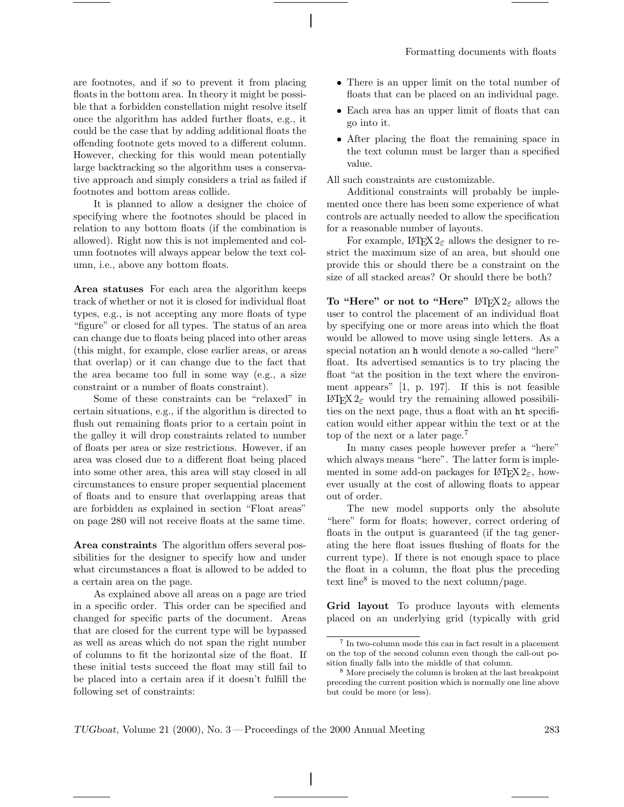are footnotes, and if so to prevent it from placing floats in the bottom area. In theory it might be possible that a forbidden constellation might resolve itself once the algorithm has added further floats, e.g., it could be the case that by adding additional floats the offending footnote gets moved to a different column. However, checking for this would mean potentially large backtracking so the algorithm uses a conservative approach and simply considers a trial as failed if footnotes and bottom areas collide.

It is planned to allow a designer the choice of specifying where the footnotes should be placed in relation to any bottom floats (if the combination is allowed). Right now this is not implemented and column footnotes will always appear below the text column, i.e., above any bottom floats.

**Area statuses** For each area the algorithm keeps track of whether or not it is closed for individual float types, e.g., is not accepting any more floats of type "figure" or closed for all types. The status of an area can change due to floats being placed into other areas (this might, for example, close earlier areas, or areas that overlap) or it can change due to the fact that the area became too full in some way (e.g., a size constraint or a number of floats constraint).

Some of these constraints can be "relaxed" in certain situations, e.g., if the algorithm is directed to flush out remaining floats prior to a certain point in the galley it will drop constraints related to number of floats per area or size restrictions. However, if an area was closed due to a different float being placed into some other area, this area will stay closed in all circumstances to ensure proper sequential placement of floats and to ensure that overlapping areas that are forbidden as explained in section "Float areas" on page 280 will not receive floats at the same time.

**Area constraints** The algorithm offers several possibilities for the designer to specify how and under what circumstances a float is allowed to be added to a certain area on the page.

As explained above all areas on a page are tried in a specific order. This order can be specified and changed for specific parts of the document. Areas that are closed for the current type will be bypassed as well as areas which do not span the right number of columns to fit the horizontal size of the float. If these initial tests succeed the float may still fail to be placed into a certain area if it doesn't fulfill the following set of constraints:

- There is an upper limit on the total number of floats that can be placed on an individual page.
- Each area has an upper limit of floats that can go into it.
- After placing the float the remaining space in the text column must be larger than a specified value.

All such constraints are customizable.

Additional constraints will probably be implemented once there has been some experience of what controls are actually needed to allow the specification for a reasonable number of layouts.

For example,  $LATEX 2<sub>\epsilon</sub>$  allows the designer to restrict the maximum size of an area, but should one provide this or should there be a constraint on the size of all stacked areas? Or should there be both?

**To "Here" or not to "Here"** L<sup>AT</sup>EX 2<sub>ε</sub> allows the user to control the placement of an individual float by specifying one or more areas into which the float would be allowed to move using single letters. As a special notation an h would denote a so-called "here" float. Its advertised semantics is to try placing the float "at the position in the text where the environment appears" [1, p. 197]. If this is not feasible LATEX 2ε would try the remaining allowed possibilities on the next page, thus a float with an ht specification would either appear within the text or at the top of the next or a later page.<sup>7</sup>

In many cases people however prefer a "here" which always means "here". The latter form is implemented in some add-on packages for LATEX  $2\varepsilon$ , however usually at the cost of allowing floats to appear out of order.

The new model supports only the absolute "here" form for floats; however, correct ordering of floats in the output is guaranteed (if the tag generating the here float issues flushing of floats for the current type). If there is not enough space to place the float in a column, the float plus the preceding text line<sup>8</sup> is moved to the next column/page.

**Grid layout** To produce layouts with elements placed on an underlying grid (typically with grid

<sup>7</sup> In two-column mode this can in fact result in a placement on the top of the second column even though the call-out position finally falls into the middle of that column.

<sup>&</sup>lt;sup>8</sup> More precisely the column is broken at the last breakpoint preceding the current position which is normally one line above but could be more (or less).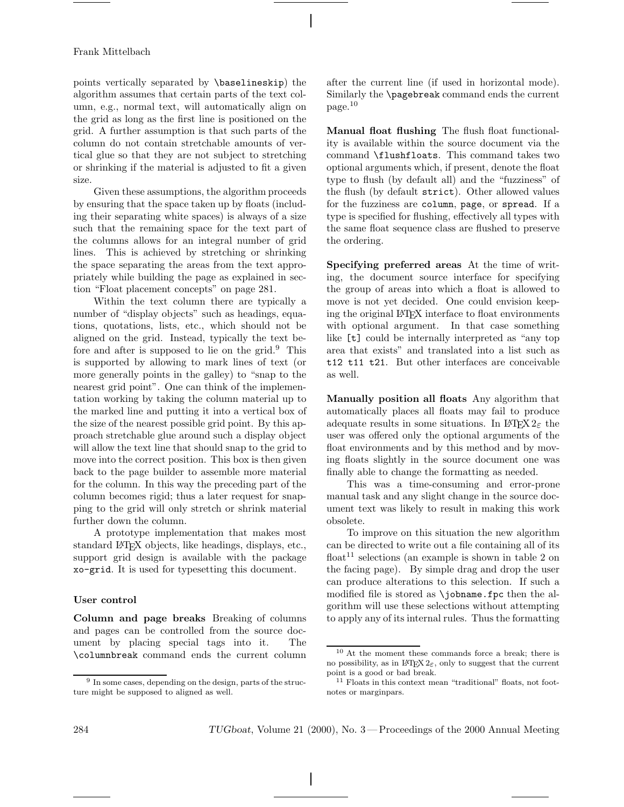points vertically separated by \baselineskip) the algorithm assumes that certain parts of the text column, e.g., normal text, will automatically align on the grid as long as the first line is positioned on the grid. Afurther assumption is that such parts of the column do not contain stretchable amounts of vertical glue so that they are not subject to stretching or shrinking if the material is adjusted to fit a given size.

Given these assumptions, the algorithm proceeds by ensuring that the space taken up by floats (including their separating white spaces) is always of a size such that the remaining space for the text part of the columns allows for an integral number of grid lines. This is achieved by stretching or shrinking the space separating the areas from the text appropriately while building the page as explained in section "Float placement concepts" on page 281.

Within the text column there are typically a number of "display objects" such as headings, equations, quotations, lists, etc., which should not be aligned on the grid. Instead, typically the text before and after is supposed to lie on the grid. $9$  This is supported by allowing to mark lines of text (or more generally points in the galley) to "snap to the nearest grid point". One can think of the implementation working by taking the column material up to the marked line and putting it into a vertical box of the size of the nearest possible grid point. By this approach stretchable glue around such a display object will allow the text line that should snap to the grid to move into the correct position. This box is then given back to the page builder to assemble more material for the column. In this way the preceding part of the column becomes rigid; thus a later request for snapping to the grid will only stretch or shrink material further down the column.

Aprototype implementation that makes most standard LATEX objects, like headings, displays, etc., support grid design is available with the package xo-grid. It is used for typesetting this document.

# **User control**

**Column and page breaks** Breaking of columns and pages can be controlled from the source document by placing special tags into it. The \columnbreak command ends the current column

after the current line (if used in horizontal mode). Similarly the \pagebreak command ends the current page.<sup>10</sup>

**Manual float flushing** The flush float functionality is available within the source document via the command \flushfloats. This command takes two optional arguments which, if present, denote the float type to flush (by default all) and the "fuzziness" of the flush (by default strict). Other allowed values for the fuzziness are column, page, or spread. If a type is specified for flushing, effectively all types with the same float sequence class are flushed to preserve the ordering.

**Specifying preferred areas** At the time of writing, the document source interface for specifying the group of areas into which a float is allowed to move is not yet decided. One could envision keeping the original LATEX interface to float environments with optional argument. In that case something like [t] could be internally interpreted as "any top area that exists" and translated into a list such as t12 t11 t21. But other interfaces are conceivable as well.

**Manually position all floats** Any algorithm that automatically places all floats may fail to produce adequate results in some situations. In LATEX  $2\varepsilon$  the user was offered only the optional arguments of the float environments and by this method and by moving floats slightly in the source document one was finally able to change the formatting as needed.

This was a time-consuming and error-prone manual task and any slight change in the source document text was likely to result in making this work obsolete.

To improve on this situation the new algorithm can be directed to write out a file containing all of its float<sup>11</sup> selections (an example is shown in table 2 on the facing page). By simple drag and drop the user can produce alterations to this selection. If such a modified file is stored as \jobname.fpc then the algorithm will use these selections without attempting to apply any of its internal rules. Thus the formatting

<sup>&</sup>lt;sup>9</sup> In some cases, depending on the design, parts of the structure might be supposed to aligned as well.

<sup>10</sup> At the moment these commands force a break; there is no possibility, as in  $\text{LATEX } 2\varepsilon$ , only to suggest that the current point is a good or bad break.

<sup>&</sup>lt;sup>11</sup> Floats in this context mean "traditional" floats, not footnotes or marginpars.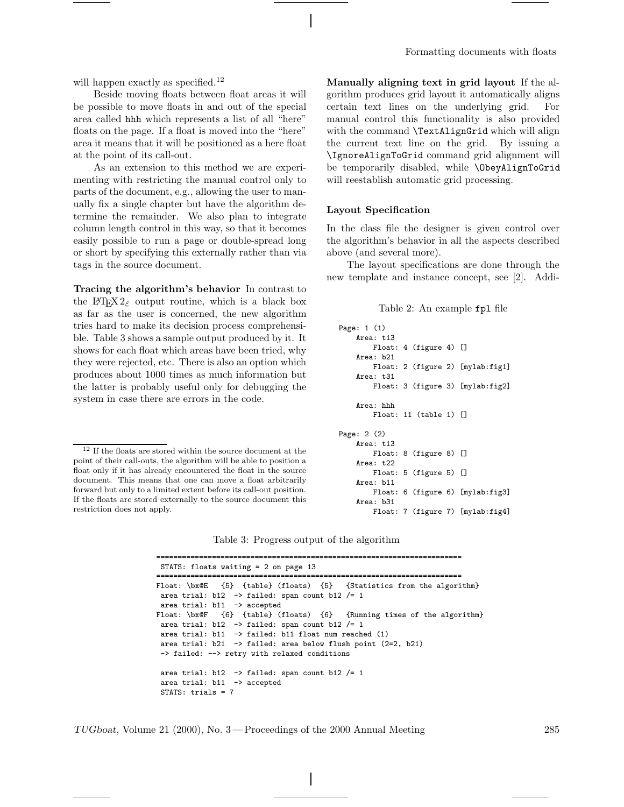will happen exactly as specified.<sup>12</sup>

Beside moving floats between float areas it will be possible to move floats in and out of the special area called hhh which represents a list of all "here" floats on the page. If a float is moved into the "here" area it means that it will be positioned as a here float at the point of its call-out.

As an extension to this method we are experimenting with restricting the manual control only to parts of the document, e.g., allowing the user to manually fix a single chapter but have the algorithm determine the remainder. We also plan to integrate column length control in this way, so that it becomes easily possible to run a page or double-spread long or short by specifying this externally rather than via tags in the source document.

**Tracing the algorithm's behavior** In contrast to the L<sup>AT</sup>EX  $2\varepsilon$  output routine, which is a black box as far as the user is concerned, the new algorithm tries hard to make its decision process comprehensible. Table 3 shows a sample output produced by it. It shows for each float which areas have been tried, why they were rejected, etc. There is also an option which produces about 1000 times as much information but the latter is probably useful only for debugging the system in case there are errors in the code.

**Manually aligning text in grid layout** If the algorithm produces grid layout it automatically aligns certain text lines on the underlying grid. For manual control this functionality is also provided with the command **\TextAlignGrid** which will align the current text line on the grid. By issuing a \IgnoreAlignToGrid command grid alignment will be temporarily disabled, while \ObeyAlignToGrid will reestablish automatic grid processing.

## **Layout Specification**

In the class file the designer is given control over the algorithm's behavior in all the aspects described above (and several more).

The layout specifications are done through the new template and instance concept, see [2]. Addi-

#### Table 2: An example fpl file

```
Page: 1 (1)
   Area: t13
       Float: 4 (figure 4) []
    Area: b21
       Float: 2 (figure 2) [mylab:fig1]
    Area: t31
       Float: 3 (figure 3) [mylab:fig2]
    Area: hhh
        Float: 11 (table 1) []
Page: 2 (2)
   Area: t13
       Float: 8 (figure 8) []
    Area: t22
       Float: 5 (figure 5) []
    Area: b11
       Float: 6 (figure 6) [mylab:fig3]
    Area: b31
        Float: 7 (figure 7) [mylab:fig4]
```
Table 3: Progress output of the algorithm

======================================================================= STATS: floats waiting = 2 on page 13 ======================================================================= Float: \bx@E {5} {table} (floats) {5} {Statistics from the algorithm} area trial:  $b12 \rightarrow$  failed: span count  $b12$  /= 1 area trial: b11 -> accepted Float: \bx@F {6} {table} (floats) {6} {Running times of the algorithm} area trial:  $b12 \rightarrow$  failed: span count  $b12$  /= 1 area trial: b11 -> failed: b11 float num reached (1) area trial: b21 -> failed: area below flush point (2=2, b21) -> failed: --> retry with relaxed conditions area trial: b12 -> failed: span count b12 /= 1 area trial: b11 -> accepted STATS: trials = 7

 $^{12}$  If the floats are stored within the source document at the  $\,$ point of their call-outs, the algorithm will be able to position a float only if it has already encountered the float in the source document. This means that one can move a float arbitrarily forward but only to a limited extent before its call-out position. If the floats are stored externally to the source document this restriction does not apply.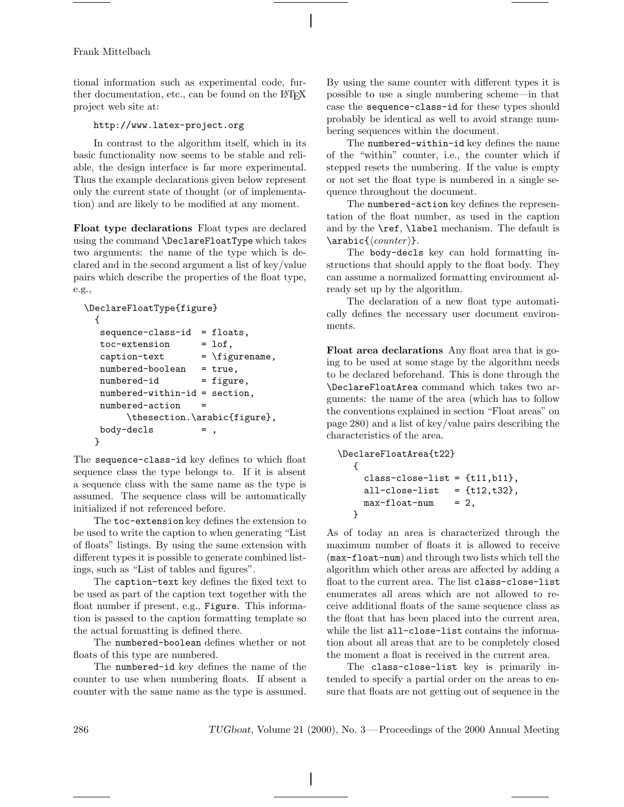tional information such as experimental code, further documentation, etc., can be found on the LATEX project web site at:

# http://www.latex-project.org

In contrast to the algorithm itself, which in its basic functionality now seems to be stable and reliable, the design interface is far more experimental. Thus the example declarations given below represent only the current state of thought (or of implementation) and are likely to be modified at any moment.

**Float type declarations** Float types are declared using the command \DeclareFloatType which takes two arguments: the name of the type which is declared and in the second argument a list of key/value pairs which describe the properties of the float type, e.g.,

```
\DeclareFloatType{figure}
```

```
{
```

```
sequence-class-id = floats,\text{toc-extension} = \text{lof},
  caption - \leftarrow + \leftarrow + \leftarrow + \leftarrow + \leftarrow + \leftarrow + \leftarrow + \leftarrow + \leftarrow + \leftarrow + \leftarrow + \leftarrow + \leftarrow + \leftarrow + \leftarrow + \leftarrow + \leftarrow + \leftarrow + \leftarrow + \leftarrow + \leftarrow + \leftarrow + \leftarrow + \leftarrow + \leftarrow + \leftarrow + \leftarrow +
  numbered-boolean = true,
  numbered-id = figure,
  numbered-within-id = section,
  numbered-action =
              \thesection.\arabic{figure},
  body-decls =}
```
The sequence-class-id key defines to which float sequence class the type belongs to. If it is absent a sequence class with the same name as the type is assumed. The sequence class will be automatically initialized if not referenced before.

The toc-extension key defines the extension to be used to write the caption to when generating "List of floats" listings. By using the same extension with different types it is possible to generate combined listings, such as "List of tables and figures".

The caption-text key defines the fixed text to be used as part of the caption text together with the float number if present, e.g., Figure. This information is passed to the caption formatting template so the actual formatting is defined there.

The numbered-boolean defines whether or not floats of this type are numbered.

The numbered-id key defines the name of the counter to use when numbering floats. If absent a counter with the same name as the type is assumed. By using the same counter with different types it is possible to use a single numbering scheme—in that case the sequence-class-id for these types should probably be identical as well to avoid strange numbering sequences within the document.

The numbered-within-id key defines the name of the "within" counter, i.e., the counter which if stepped resets the numbering. If the value is empty or not set the float type is numbered in a single sequence throughout the document.

The numbered-action key defines the representation of the float number, as used in the caption and by the \ref, \label mechanism. The default is  $\langle \text{counter} \rangle.$ 

The body-decls key can hold formatting instructions that should apply to the float body. They can assume a normalized formatting environment already set up by the algorithm.

The declaration of a new float type automatically defines the necessary user document environments.

**Float area declarations** Any float area that is going to be used at some stage by the algorithm needs to be declared beforehand. This is done through the \DeclareFloatArea command which takes two arguments: the name of the area (which has to follow the conventions explained in section "Float areas" on page 280) and a list of key/value pairs describing the characteristics of the area.

```
\DeclareFloatArea{t22}
  {
    class-close-list = {t11, b11},all-close-list = {t12,t32},max-float-num = 2,
  }
```
As of today an area is characterized through the maximum number of floats it is allowed to receive (max-float-num) and through two lists which tell the algorithm which other areas are affected by adding a float to the current area. The list class-close-list enumerates all areas which are not allowed to receive additional floats of the same sequence class as the float that has been placed into the current area, while the list all-close-list contains the information about all areas that are to be completely closed the moment a float is received in the current area.

The class-close-list key is primarily intended to specify a partial order on the areas to ensure that floats are not getting out of sequence in the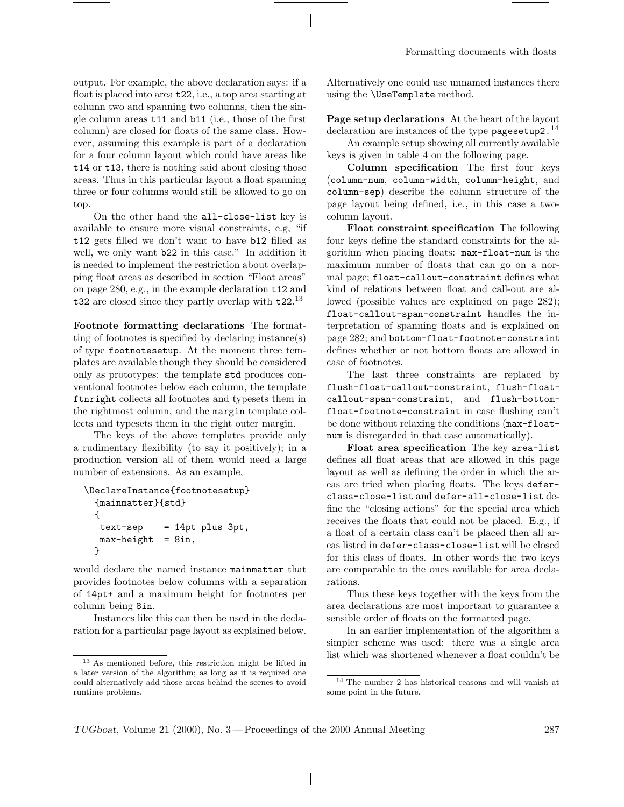output. For example, the above declaration says: if a float is placed into area t22, i.e., a top area starting at column two and spanning two columns, then the single column areas t11 and b11 (i.e., those of the first column) are closed for floats of the same class. However, assuming this example is part of a declaration for a four column layout which could have areas like t14 or t13, there is nothing said about closing those areas. Thus in this particular layout a float spanning three or four columns would still be allowed to go on top.

On the other hand the all-close-list key is available to ensure more visual constraints, e.g, "if t12 gets filled we don't want to have b12 filled as well, we only want b22 in this case." In addition it is needed to implement the restriction about overlapping float areas as described in section "Float areas" on page 280, e.g., in the example declaration t12 and t32 are closed since they partly overlap with t22.<sup>13</sup>

**Footnote formatting declarations** The formatting of footnotes is specified by declaring instance(s) of type footnotesetup. At the moment three templates are available though they should be considered only as prototypes: the template std produces conventional footnotes below each column, the template ftnright collects all footnotes and typesets them in the rightmost column, and the margin template collects and typesets them in the right outer margin.

The keys of the above templates provide only a rudimentary flexibility (to say it positively); in a production version all of them would need a large number of extensions. As an example,

```
\DeclareInstance{footnotesetup}
  {mainmatter}{std}
  {
  text-sep = 14pt plus 3pt,max-height = 8in,}
```
would declare the named instance mainmatter that provides footnotes below columns with a separation of 14pt+ and a maximum height for footnotes per column being 8in.

Instances like this can then be used in the declaration for a particular page layout as explained below. Alternatively one could use unnamed instances there using the \UseTemplate method.

**Page setup declarations** At the heart of the layout declaration are instances of the type pages etup  $2.^{14}$ 

An example setup showing all currently available keys is given in table 4 on the following page.

**Column specification** The first four keys (column-num, column-width, column-height, and column-sep) describe the column structure of the page layout being defined, i.e., in this case a twocolumn layout.

**Float constraint specification** The following four keys define the standard constraints for the algorithm when placing floats: max-float-num is the maximum number of floats that can go on a normal page; float-callout-constraint defines what kind of relations between float and call-out are allowed (possible values are explained on page 282); float-callout-span-constraint handles the interpretation of spanning floats and is explained on page 282; and bottom-float-footnote-constraint defines whether or not bottom floats are allowed in case of footnotes.

The last three constraints are replaced by flush-float-callout-constraint, flush-floatcallout-span-constraint, and flush-bottomfloat-footnote-constraint in case flushing can't be done without relaxing the conditions (max-floatnum is disregarded in that case automatically).

**Float area specification** The key area-list defines all float areas that are allowed in this page layout as well as defining the order in which the areas are tried when placing floats. The keys deferclass-close-list and defer-all-close-list define the "closing actions" for the special area which receives the floats that could not be placed. E.g., if a float of a certain class can't be placed then all areas listed in defer-class-close-list will be closed for this class of floats. In other words the two keys are comparable to the ones available for area declarations.

Thus these keys together with the keys from the area declarations are most important to guarantee a sensible order of floats on the formatted page.

In an earlier implementation of the algorithm a simpler scheme was used: there was a single area list which was shortened whenever a float couldn't be

<sup>13</sup> As mentioned before, this restriction might be lifted in a later version of the algorithm; as long as it is required one could alternatively add those areas behind the scenes to avoid runtime problems.

<sup>14</sup> The number 2 has historical reasons and will vanish at some point in the future.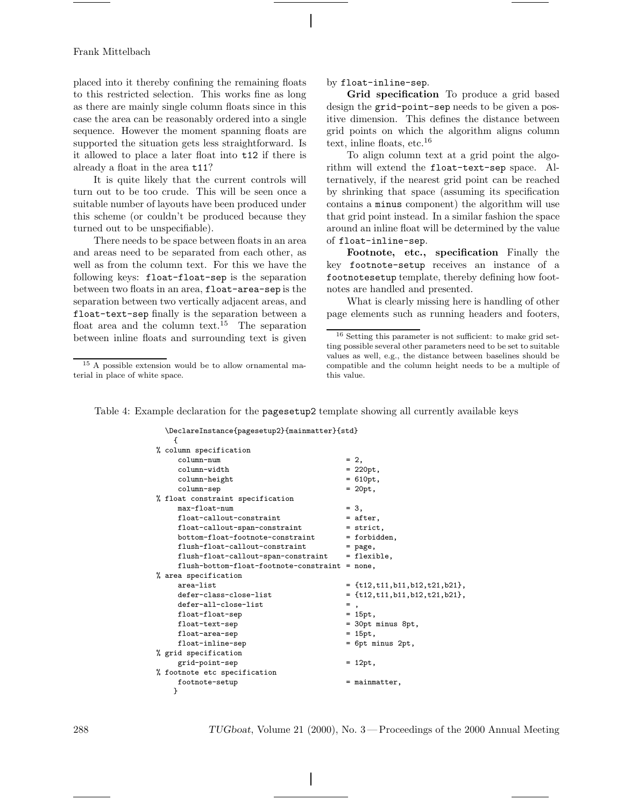placed into it thereby confining the remaining floats to this restricted selection. This works fine as long as there are mainly single column floats since in this case the area can be reasonably ordered into a single sequence. However the moment spanning floats are supported the situation gets less straightforward. Is it allowed to place a later float into t12 if there is already a float in the area t11?

It is quite likely that the current controls will turn out to be too crude. This will be seen once a suitable number of layouts have been produced under this scheme (or couldn't be produced because they turned out to be unspecifiable).

There needs to be space between floats in an area and areas need to be separated from each other, as well as from the column text. For this we have the following keys: float-float-sep is the separation between two floats in an area, float-area-sep is the separation between two vertically adjacent areas, and float-text-sep finally is the separation between a float area and the column text.<sup>15</sup> The separation between inline floats and surrounding text is given by float-inline-sep.

**Grid specification** To produce a grid based design the grid-point-sep needs to be given a positive dimension. This defines the distance between grid points on which the algorithm aligns column text, inline floats, etc.<sup>16</sup>

To align column text at a grid point the algorithm will extend the float-text-sep space. Alternatively, if the nearest grid point can be reached by shrinking that space (assuming its specification contains a minus component) the algorithm will use that grid point instead. In a similar fashion the space around an inline float will be determined by the value of float-inline-sep.

**Footnote, etc., specification** Finally the key footnote-setup receives an instance of a footnotesetup template, thereby defining how footnotes are handled and presented.

What is clearly missing here is handling of other page elements such as running headers and footers,

Table 4: Example declaration for the pagesetup2 template showing all currently available keys

| \DeclareInstance{pagesetup2}{mainmatter}{std} |   |                                        |
|-----------------------------------------------|---|----------------------------------------|
| ł.                                            |   |                                        |
| % column specification                        |   |                                        |
| column-num                                    |   | $= 2,$                                 |
| column-width                                  |   | $= 220pt,$                             |
| column-height                                 |   | $= 610pt,$                             |
| column-sep                                    |   | $= 20pt$ ,                             |
| % float constraint specification              |   |                                        |
| $max-float-num$                               |   | $= 3.$                                 |
| float-callout-constraint                      |   | = after,                               |
| float-callout-span-constraint                 |   | $=$ strict,                            |
| bottom-float-footnote-constraint              |   | = forbidden,                           |
| flush-float-callout-constraint                |   | $=$ page,                              |
| flush-float-callout-span-constraint           |   | = flexible,                            |
| flush-bottom-float-footnote-constraint        |   | $= none,$                              |
| % area specification                          |   |                                        |
| area-list                                     |   | $= \{t12, t11, b11, b12, t21, b21\},\$ |
| defer-class-close-list                        |   | $= \{t12, t11, b11, b12, t21, b21\},\$ |
| defer-all-close-list                          | = |                                        |
| float-float-sep                               |   | $= 15pt,$                              |
| float-text-sep                                |   | = 30pt minus 8pt,                      |
| float-area-sep                                |   | $= 15pt.$                              |
| float-inline-sep                              |   | = 6pt minus 2pt,                       |
| % grid specification                          |   |                                        |
| grid-point-sep                                |   | $= 12pt,$                              |
| % footnote etc specification                  |   |                                        |
| footnote-setup                                |   | $=$ mainmatter,                        |
| }                                             |   |                                        |

<sup>15</sup> A possible extension would be to allow ornamental material in place of white space.

<sup>16</sup> Setting this parameter is not sufficient: to make grid setting possible several other parameters need to be set to suitable values as well, e.g., the distance between baselines should be compatible and the column height needs to be a multiple of this value.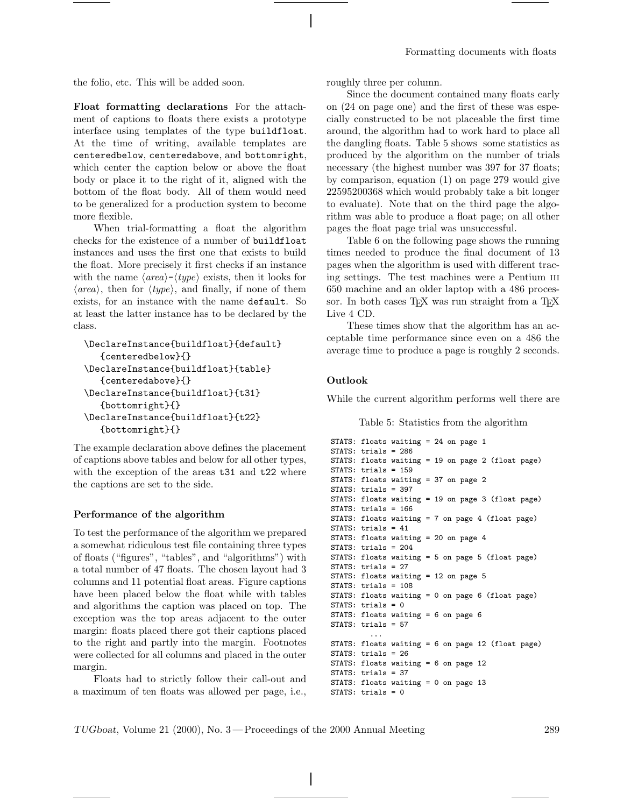the folio, etc. This will be added soon.

**Float formatting declarations** For the attachment of captions to floats there exists a prototype interface using templates of the type buildfloat. At the time of writing, available templates are centeredbelow, centeredabove, and bottomright, which center the caption below or above the float body or place it to the right of it, aligned with the bottom of the float body. All of them would need to be generalized for a production system to become more flexible.

When trial-formatting a float the algorithm checks for the existence of a number of buildfloat instances and uses the first one that exists to build the float. More precisely it first checks if an instance with the name  $\langle area \rangle - \langle type \rangle$  exists, then it looks for  $\langle area \rangle$ , then for  $\langle type \rangle$ , and finally, if none of them exists, for an instance with the name default. So at least the latter instance has to be declared by the class.

```
\DeclareInstance{buildfloat}{default}
   {centeredbelow}{}
\DeclareInstance{buildfloat}{table}
   {centeredabove}{}
\DeclareInstance{buildfloat}{t31}
   {bottomright}{}
\DeclareInstance{buildfloat}{t22}
   {bottomright}{}
```
The example declaration above defines the placement of captions above tables and below for all other types, with the exception of the areas t<sub>31</sub> and t<sub>22</sub> where the captions are set to the side.

#### **Performance of the algorithm**

To test the performance of the algorithm we prepared a somewhat ridiculous test file containing three types of floats ("figures", "tables", and "algorithms") with a total number of 47 floats. The chosen layout had 3 columns and 11 potential float areas. Figure captions have been placed below the float while with tables and algorithms the caption was placed on top. The exception was the top areas adjacent to the outer margin: floats placed there got their captions placed to the right and partly into the margin. Footnotes were collected for all columns and placed in the outer margin.

Floats had to strictly follow their call-out and a maximum of ten floats was allowed per page, i.e., roughly three per column.

Since the document contained many floats early on (24 on page one) and the first of these was especially constructed to be not placeable the first time around, the algorithm had to work hard to place all the dangling floats. Table 5 shows some statistics as produced by the algorithm on the number of trials necessary (the highest number was 397 for 37 floats; by comparison, equation (1) on page 279 would give 22595200368 which would probably take a bit longer to evaluate). Note that on the third page the algorithm was able to produce a float page; on all other pages the float page trial was unsuccessful.

Table 6 on the following page shows the running times needed to produce the final document of 13 pages when the algorithm is used with different tracing settings. The test machines were a Pentium III 650 machine and an older laptop with a 486 processor. In both cases TEX was run straight from a TEX Live 4 CD.

These times show that the algorithm has an acceptable time performance since even on a 486 the average time to produce a page is roughly 2 seconds.

#### **Outlook**

While the current algorithm performs well there are

Table 5: Statistics from the algorithm

```
STATS: floats waiting = 24 on page 1
STATS: trials = 286
STATS: floats waiting = 19 on page 2 (float page)
STATS: trials = 159
STATS: floats waiting = 37 on page 2
STATS: trials = 397
STATS: floats waiting = 19 on page 3 (float page)
STATS: trials = 166
STATS: floats waiting = 7 on page 4 (float page)
STATS: trials = 41
STATS: floats waiting = 20 on page 4
STATS: trials = 204
STATS: floats waiting = 5 on page 5 (float page)
STATS: trials = 27
STATS: floats waiting = 12 on page 5
STATS: trials = 108
STATS: floats waiting = 0 on page 6 (float page)
STATS: trials = 0
STATS: floats waiting = 6 on page 6
STATS: trials = 57
         ...
STATS: floats waiting = 6 on page 12 (float page)
STATS: trials = 26
STATS: floats waiting = 6 on page 12
STATS: trials = 37
STATS: floats waiting = 0 on page 13
STATS: trials = 0
```